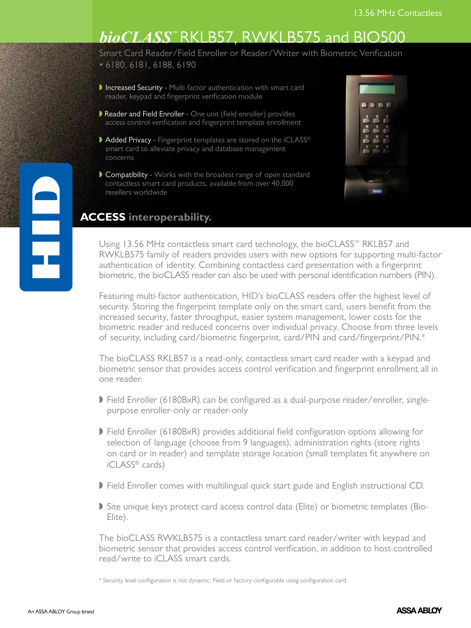# **bioCLASS<sup>™</sup>RKLB57, RWKLB575 and BIO500**

Smart Card Reader/Field Enroller or Reader/Writer with Biometric Verification • 6180, 6181, 6188, 6190

- Increased Security Multi-factor authentication with smart card reader, keypad and fingerprint verification module
- Reader and Field Enroller One unit (field enroller) provides access control verification and fingerprint template enrollment
- Added Privacy Fingerprint templates are stored on the iCLASS® smart card to alleviate privacy and database management concerns
- Compatibility Works with the broadest range of open standard contactless smart card products, available from over 40,000 resellers worldwide

| ● ● ●<br>ΓI                              |
|------------------------------------------|
| з<br>đ                                   |
| $\alpha$ $\beta$ = $\beta$ $\alpha$<br>é |
|                                          |
|                                          |
|                                          |
|                                          |
|                                          |
| <b>THIS</b>                              |

### **ACCESS interoperability.**

Using 13.56 MHz contactless smart card technology, the bioCLASS™ RKLB57 and RWKLB575 family of readers provides users with new options for supporting multi-factor authentication of identity. Combining contactless card presentation with a fingerprint biometric, the bioCLASS reader can also be used with personal identification numbers (PIN).

Featuring multi-factor authentication, HID's bioCLASS readers offer the highest level of security. Storing the fingerprint template only on the smart card, users benefit from the increased security, faster throughput, easier system management, lower costs for the biometric reader and reduced concerns over individual privacy. Choose from three levels of security, including card/biometric fingerprint, card/PIN and card/fingerprint/PIN.\*

The bioCLASS RKLB57 is a read-only, contactless smart card reader with a keypad and biometric sensor that provides access control verification and fingerprint enrollment all in one reader.

- $\triangleright$  Field Enroller (6180BxR) can be configured as a dual-purpose reader/enroller, singlepurpose enroller-only or reader-only
- Field Enroller (6180BxR) provides additional field configuration options allowing for selection of language (choose from 9 languages), administration rights (store rights on card or in reader) and template storage location (small templates fit anywhere on iCLASS® cards)
- If Field Enroller comes with multilingual quick start guide and English instructional CD.
- Site unique keys protect card access control data (Elite) or biometric templates (Bio-Elite).

The bioCLASS RWKLB575 is a contactless smart card reader/writer with keypad and biometric sensor that provides access control verification, in addition to host-controlled read/write to iCLASS smart cards.

\* Security level configuration is not dynamic. Field or factory configurable using configuration card.

e<br>F